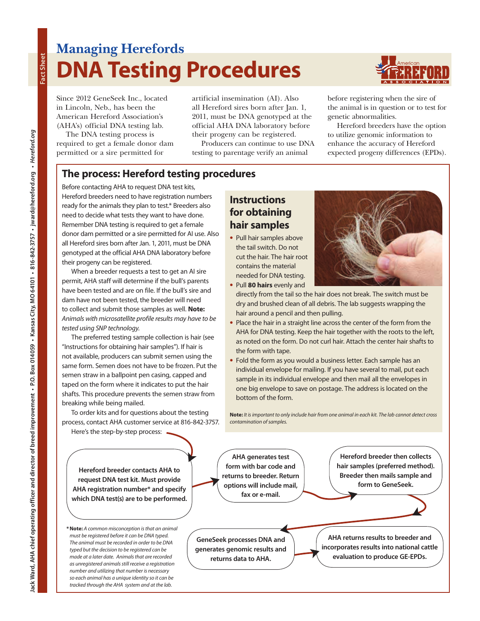# **Managing Herefords DNA Testing Procedures**



Since 2012 GeneSeek Inc., located in Lincoln, Neb., has been the American Hereford Association's (AHA's) official DNA testing lab.

The DNA testing process is required to get a female donor dam permitted or a sire permitted for

artificial insemination (AI). Also all Hereford sires born after Jan. 1, 2011, must be DNA genotyped at the official AHA DNA laboratory before their progeny can be registered.

Producers can continue to use DNA testing to parentage verify an animal

> **Instructions for obtaining hair samples •** Pull hair samples above the tail switch. Do not cut the hair. The hair root contains the material needed for DNA testing. **•** Pull **80 hairs** evenly and

before registering when the sire of the animal is in question or to test for genetic abnormalities.

Hereford breeders have the option to utilize genomic information to enhance the accuracy of Hereford expected progeny differences (EPDs).

directly from the tail so the hair does not break. The switch must be dry and brushed clean of all debris. The lab suggests wrapping the

**•** Place the hair in a straight line across the center of the form from the AHA for DNA testing. Keep the hair together with the roots to the left, as noted on the form. Do not curl hair. Attach the center hair shafts to

**•** Fold the form as you would a business letter. Each sample has an individual envelope for mailing. If you have several to mail, put each sample in its individual envelope and then mail all the envelopes in one big envelope to save on postage. The address is located on the

**Note:** *It is important to only include hair from one animal in each kit. The lab cannot detect cross* 

hair around a pencil and then pulling.

the form with tape.

bottom of the form.

*contamination of samples.*

**AHA generates test** 

## **The process: Hereford testing procedures**

Before contacting AHA to request DNA test kits, Hereford breeders need to have registration numbers ready for the animals they plan to test.\* Breeders also need to decide what tests they want to have done. Remember DNA testing is required to get a female donor dam permitted or a sire permitted for AI use. Also all Hereford sires born after Jan. 1, 2011, must be DNA genotyped at the official AHA DNA laboratory before their progeny can be registered.

When a breeder requests a test to get an AI sire permit, AHA staff will determine if the bull's parents have been tested and are on file. If the bull's sire and dam have not been tested, the breeder will need to collect and submit those samples as well. **Note:** *Animals with microsatellite profile results may have to be tested using SNP technology.*

The preferred testing sample collection is hair (see "Instructions for obtaining hair samples"). If hair is not available, producers can submit semen using the same form. Semen does not have to be frozen. Put the semen straw in a ballpoint pen casing, capped and taped on the form where it indicates to put the hair shafts. This procedure prevents the semen straw from breaking while being mailed.

To order kits and for questions about the testing process, contact AHA customer service at 816-842-3757.

Here's the step-by-step process:

**form with bar code and returns to breeder. Return options will include mail, fax or e-mail.** 

**Hereford breeder then collects hair samples (preferred method). Breeder then mails sample and form to GeneSeek.**

**GeneSeek processes DNA and generates genomic results and returns data to AHA.**

**AHA returns results to breeder and incorporates results into national cattle evaluation to produce GE-EPDs.**

**Hereford breeder contacts AHA to request DNA test kit. Must provide AHA registration number\* and specify which DNA test(s) are to be performed.** 

**\*Note:** *A common misconception is that an animal must be registered before it can be DNA typed. The animal must be recorded in order to be DNA typed but the decision to be registered can be made at a later date. Animals that are recorded as unregistered animals still receive a registration number and utilizing that number is necessary so each animal has a unique identity so it can be tracked through the AHA system and at the lab.*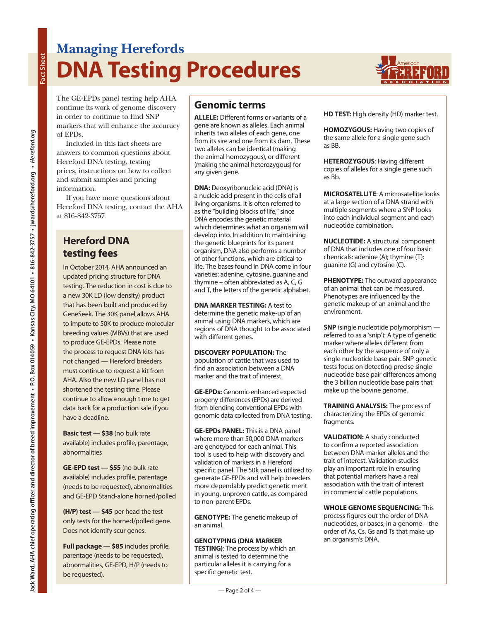# **Managing Herefords DNA Testing Procedures**



The GE-EPDs panel testing help AHA continue its work of genome discovery in order to continue to find SNP markers that will enhance the accuracy of EPDs.

Included in this fact sheets are answers to common questions about Hereford DNA testing, testing prices, instructions on how to collect and submit samples and pricing information.

If you have more questions about Hereford DNA testing, contact the AHA at 816-842-3757.

## **Hereford DNA testing fees**

In October 2014, AHA announced an updated pricing structure for DNA testing. The reduction in cost is due to a new 30K LD (low density) product that has been built and produced by GeneSeek. The 30K panel allows AHA to impute to 50K to produce molecular breeding values (MBVs) that are used to produce GE-EPDs. Please note the process to request DNA kits has not changed — Hereford breeders must continue to request a kit from AHA. Also the new LD panel has not shortened the testing time. Please continue to allow enough time to get data back for a production sale if you have a deadline.

**Basic test — \$38** (no bulk rate available) includes profile, parentage, abnormalities

**GE-EPD test — \$55** (no bulk rate available) includes profile, parentage (needs to be requested), abnormalities and GE-EPD Stand-alone horned/polled

**(H/P) test — \$45** per head the test only tests for the horned/polled gene. Does not identify scur genes.

**Full package — \$85** includes profile, parentage (needs to be requested), abnormalities, GE-EPD, H/P (needs to be requested).

## **Genomic terms**

**ALLELE:** Different forms or variants of a gene are known as alleles. Each animal inherits two alleles of each gene, one from its sire and one from its dam. These two alleles can be identical (making the animal homozygous), or different (making the animal heterozygous) for any given gene.

**DNA:** Deoxyribonucleic acid (DNA) is a nucleic acid present in the cells of all living organisms. It is often referred to as the "building blocks of life," since DNA encodes the genetic material which determines what an organism will develop into. In addition to maintaining the genetic blueprints for its parent organism, DNA also performs a number of other functions, which are critical to life. The bases found in DNA come in four varieties: adenine, cytosine, guanine and thymine – often abbreviated as A, C, G and T, the letters of the genetic alphabet.

**DNA MARKER TESTING:** A test to determine the genetic make-up of an animal using DNA markers, which are regions of DNA thought to be associated with different genes.

**DISCOVERY POPULATION:** The population of cattle that was used to find an association between a DNA marker and the trait of interest.

**GE-EPDs:** Genomic-enhanced expected progeny differences (EPDs) are derived from blending conventional EPDs with genomic data collected from DNA testing.

**GE-EPDs PANEL:** This is a DNA panel where more than 50,000 DNA markers are genotyped for each animal. This tool is used to help with discovery and validation of markers in a Hereford specific panel. The 50k panel is utilized to generate GE-EPDs and will help breeders more dependably predict genetic merit in young, unproven cattle, as compared to non-parent EPDs.

**GENOTYPE:** The genetic makeup of an animal.

### **GENOTYPING (DNA MARKER**

**TESTING)**: The process by which an animal is tested to determine the particular alleles it is carrying for a specific genetic test.

**HD TEST:** High density (HD) marker test.

**HOMOZYGOUS:** Having two copies of the same allele for a single gene such as BB.

**HETEROZYGOUS**: Having different copies of alleles for a single gene such as Bb.

**MICROSATELLITE**: A microsatellite looks at a large section of a DNA strand with multiple segments where a SNP looks into each individual segment and each nucleotide combination.

**NUCLEOTIDE:** A structural component of DNA that includes one of four basic chemicals: adenine (A); thymine (T); guanine (G) and cytosine (C).

**PHENOTYPE:** The outward appearance of an animal that can be measured. Phenotypes are influenced by the genetic makeup of an animal and the environment.

**SNP** (single nucleotide polymorphism referred to as a 'snip'): A type of genetic marker where alleles different from each other by the sequence of only a single nucleotide base pair. SNP genetic tests focus on detecting precise single nucleotide base pair differences among the 3 billion nucleotide base pairs that make up the bovine genome.

**TRAINING ANALYSIS:** The process of characterizing the EPDs of genomic fragments.

**VALIDATION:** A study conducted to confirm a reported association between DNA-marker alleles and the trait of interest. Validation studies play an important role in ensuring that potential markers have a real association with the trait of interest in commercial cattle populations.

**WHOLE GENOME SEQUENCING:** This process figures out the order of DNA nucleotides, or bases, in a genome – the order of As, Cs, Gs and Ts that make up an organism's DNA.

**Fact Sheet**

Fact Sheet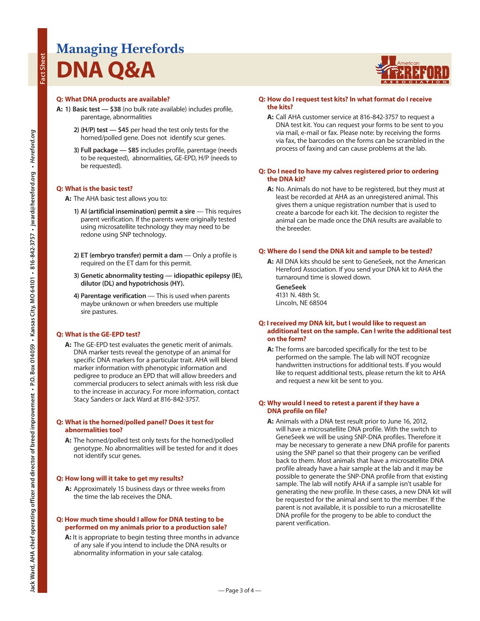# **Managing Herefords DNA Q&A**

### **Q: What DNA products are available?**

- **A: 1) Basic test \$38** (no bulk rate available) includes profile, parentage, abnormalities
	- **2) (H/P) test \$45** per head the test only tests for the horned/polled gene. Does not identify scur genes.
	- **3) Full package \$85** includes profile, parentage (needs to be requested), abnormalities, GE-EPD, H/P (needs to be requested).

#### **Q: What is the basic test?**

- **A:** The AHA basic test allows you to:
	- **1) AI (artificial insemination) permit a sire** This requires parent verification. If the parents were originally tested using microsatellite technology they may need to be redone using SNP technology.
	- **2) ET (embryo transfer) permit a dam** Only a profile is required on the ET dam for this permit.
	- **3) Genetic abnormality testing idiopathic epilepsy (IE), dilutor (DL) and hypotrichosis (HY).**
	- **4) Parentage verification** This is used when parents maybe unknown or when breeders use multiple sire pastures.

#### **Q: What is the GE-EPD test?**

**A:** The GE-EPD test evaluates the genetic merit of animals. DNA marker tests reveal the genotype of an animal for specific DNA markers for a particular trait. AHA will blend marker information with phenotypic information and pedigree to produce an EPD that will allow breeders and commercial producers to select animals with less risk due to the increase in accuracy. For more information, contact Stacy Sanders or Jack Ward at 816-842-3757.

#### **Q: What is the horned/polled panel? Does it test for abnormalities too?**

**A:** The horned/polled test only tests for the horned/polled genotype. No abnormalities will be tested for and it does not identify scur genes.

#### **Q: How long will it take to get my results?**

**A:** Approximately 15 business days or three weeks from the time the lab receives the DNA.

#### **Q: How much time should I allow for DNA testing to be performed on my animals prior to a production sale?**

**A:** It is appropriate to begin testing three months in advance of any sale if you intend to include the DNA results or abnormality information in your sale catalog.

#### **Q: How do I request test kits? In what format do I receive the kits?**

**A:** Call AHA customer service at 816-842-3757 to request a DNA test kit. You can request your forms to be sent to you via mail, e-mail or fax. Please note: by receiving the forms via fax, the barcodes on the forms can be scrambled in the process of faxing and can cause problems at the lab.

#### **Q: Do I need to have my calves registered prior to ordering the DNA kit?**

**A:** No. Animals do not have to be registered, but they must at least be recorded at AHA as an unregistered animal. This gives them a unique registration number that is used to create a barcode for each kit. The decision to register the animal can be made once the DNA results are available to the breeder.

#### **Q: Where do I send the DNA kit and sample to be tested?**

**A:** All DNA kits should be sent to GeneSeek, not the American Hereford Association. If you send your DNA kit to AHA the turnaround time is slowed down.

 **GeneSeek** 4131 N. 48th St. Lincoln, NE 68504

#### **Q: I received my DNA kit, but I would like to request an additional test on the sample. Can I write the additional test on the form?**

**A:** The forms are barcoded specifically for the test to be performed on the sample. The lab will NOT recognize handwritten instructions for additional tests. If you would like to request additional tests, please return the kit to AHA and request a new kit be sent to you.

#### **Q: Why would I need to retest a parent if they have a DNA profile on file?**

**A:** Animals with a DNA test result prior to June 16, 2012, will have a microsatellite DNA profile. With the switch to GeneSeek we will be using SNP-DNA profiles. Therefore it may be necessary to generate a new DNA profile for parents using the SNP panel so that their progeny can be verified back to them. Most animals that have a microsatellite DNA profile already have a hair sample at the lab and it may be possible to generate the SNP-DNA profile from that existing sample. The lab will notify AHA if a sample isn't usable for generating the new profile. In these cases, a new DNA kit will be requested for the animal and sent to the member. If the parent is not available, it is possible to run a microsatellite DNA profile for the progeny to be able to conduct the parent verification.